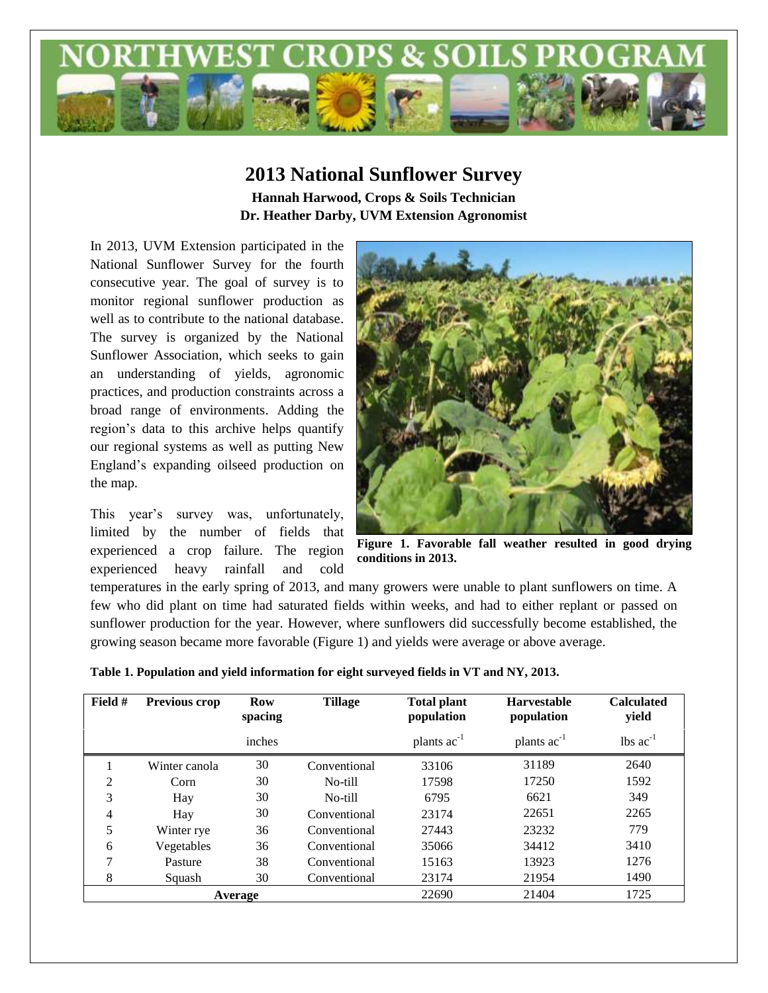

## **2013 National Sunflower Survey Hannah Harwood, Crops & Soils Technician Dr. Heather Darby, UVM Extension Agronomist**

In 2013, UVM Extension participated in the National Sunflower Survey for the fourth consecutive year. The goal of survey is to monitor regional sunflower production as well as to contribute to the national database. The survey is organized by the National Sunflower Association, which seeks to gain an understanding of yields, agronomic practices, and production constraints across a broad range of environments. Adding the region's data to this archive helps quantify our regional systems as well as putting New England's expanding oilseed production on the map.

This year's survey was, unfortunately, limited by the number of fields that experienced a crop failure. The region experienced heavy rainfall and cold



**Figure 1. Favorable fall weather resulted in good drying conditions in 2013.**

temperatures in the early spring of 2013, and many growers were unable to plant sunflowers on time. A few who did plant on time had saturated fields within weeks, and had to either replant or passed on sunflower production for the year. However, where sunflowers did successfully become established, the growing season became more favorable (Figure 1) and yields were average or above average.

| Field #        | Previous crop | <b>Row</b><br>spacing | <b>Tillage</b> | <b>Total plant</b><br>population | <b>Harvestable</b><br>population | <b>Calculated</b><br>yield    |
|----------------|---------------|-----------------------|----------------|----------------------------------|----------------------------------|-------------------------------|
|                |               | inches                |                | plants $ac^{-1}$                 | plants $ac^{-1}$                 | $\text{lbs}$ ac <sup>-1</sup> |
|                | Winter canola | 30                    | Conventional   | 33106                            | 31189                            | 2640                          |
| $\overline{c}$ | Corn          | 30                    | No-till        | 17598                            | 17250                            | 1592                          |
| 3              | Hay           | 30                    | No-till        | 6795                             | 6621                             | 349                           |
| 4              | Hay           | 30                    | Conventional   | 23174                            | 22651                            | 2265                          |
| 5              | Winter rye    | 36                    | Conventional   | 27443                            | 23232                            | 779                           |
| 6              | Vegetables    | 36                    | Conventional   | 35066                            | 34412                            | 3410                          |
| 7              | Pasture       | 38                    | Conventional   | 15163                            | 13923                            | 1276                          |
| 8              | Squash        | 30                    | Conventional   | 23174                            | 21954                            | 1490                          |
|                |               | Average               |                | 22690                            | 21404                            | 1725                          |

|  | Table 1. Population and yield information for eight surveyed fields in VT and NY, 2013. |  |  |  |
|--|-----------------------------------------------------------------------------------------|--|--|--|
|  |                                                                                         |  |  |  |
|  |                                                                                         |  |  |  |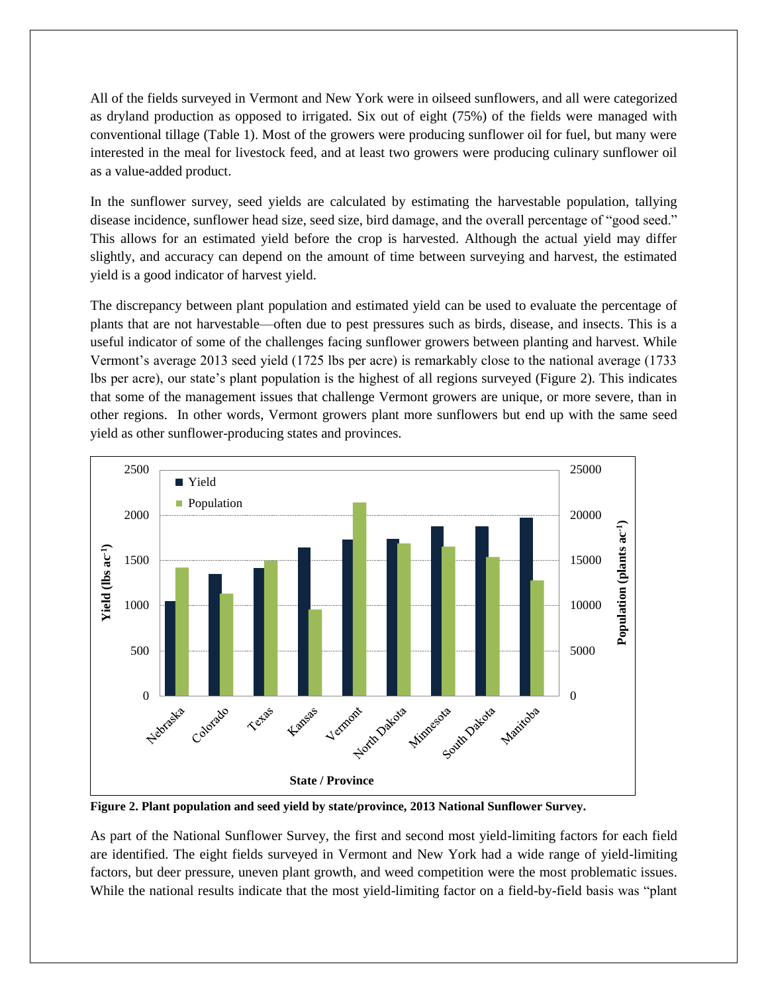All of the fields surveyed in Vermont and New York were in oilseed sunflowers, and all were categorized as dryland production as opposed to irrigated. Six out of eight (75%) of the fields were managed with conventional tillage (Table 1). Most of the growers were producing sunflower oil for fuel, but many were interested in the meal for livestock feed, and at least two growers were producing culinary sunflower oil as a value-added product.

In the sunflower survey, seed yields are calculated by estimating the harvestable population, tallying disease incidence, sunflower head size, seed size, bird damage, and the overall percentage of "good seed." This allows for an estimated yield before the crop is harvested. Although the actual yield may differ slightly, and accuracy can depend on the amount of time between surveying and harvest, the estimated yield is a good indicator of harvest yield.

The discrepancy between plant population and estimated yield can be used to evaluate the percentage of plants that are not harvestable—often due to pest pressures such as birds, disease, and insects. This is a useful indicator of some of the challenges facing sunflower growers between planting and harvest. While Vermont's average 2013 seed yield (1725 lbs per acre) is remarkably close to the national average (1733 lbs per acre), our state's plant population is the highest of all regions surveyed (Figure 2). This indicates that some of the management issues that challenge Vermont growers are unique, or more severe, than in other regions. In other words, Vermont growers plant more sunflowers but end up with the same seed yield as other sunflower-producing states and provinces.



**Figure 2. Plant population and seed yield by state/province, 2013 National Sunflower Survey.**

As part of the National Sunflower Survey, the first and second most yield-limiting factors for each field are identified. The eight fields surveyed in Vermont and New York had a wide range of yield-limiting factors, but deer pressure, uneven plant growth, and weed competition were the most problematic issues. While the national results indicate that the most yield-limiting factor on a field-by-field basis was "plant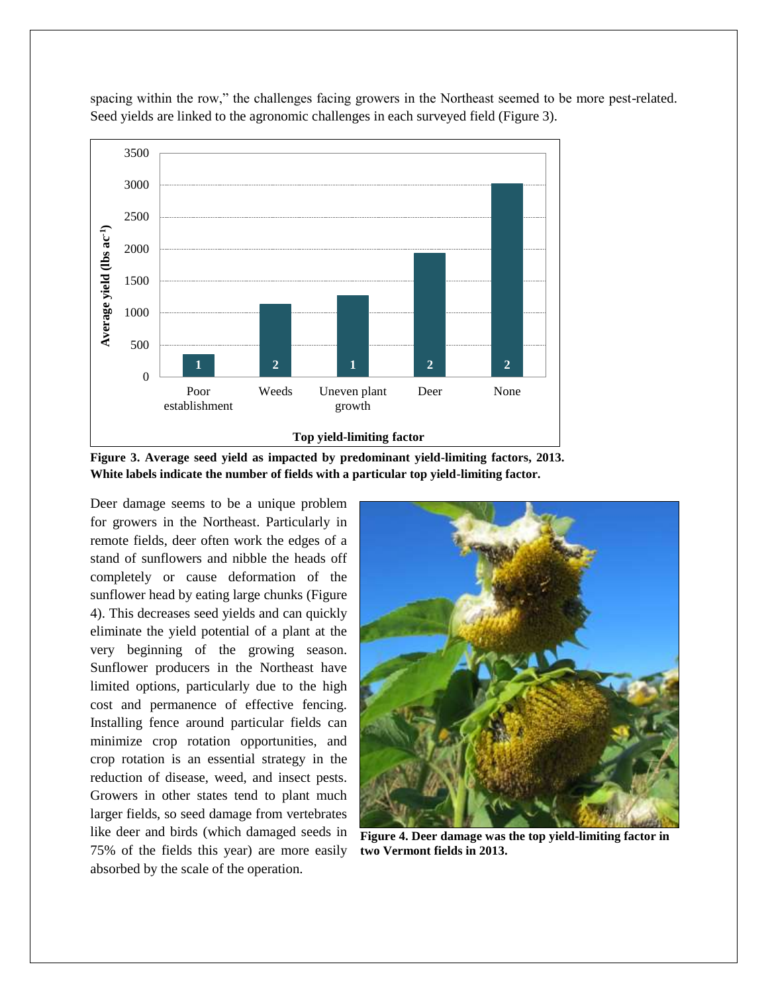

spacing within the row," the challenges facing growers in the Northeast seemed to be more pest-related. Seed yields are linked to the agronomic challenges in each surveyed field (Figure 3).

**Figure 3. Average seed yield as impacted by predominant yield-limiting factors, 2013. White labels indicate the number of fields with a particular top yield-limiting factor.**

Deer damage seems to be a unique problem for growers in the Northeast. Particularly in remote fields, deer often work the edges of a stand of sunflowers and nibble the heads off completely or cause deformation of the sunflower head by eating large chunks (Figure 4). This decreases seed yields and can quickly eliminate the yield potential of a plant at the very beginning of the growing season. Sunflower producers in the Northeast have limited options, particularly due to the high cost and permanence of effective fencing. Installing fence around particular fields can minimize crop rotation opportunities, and crop rotation is an essential strategy in the reduction of disease, weed, and insect pests. Growers in other states tend to plant much larger fields, so seed damage from vertebrates like deer and birds (which damaged seeds in 75% of the fields this year) are more easily absorbed by the scale of the operation.



**Figure 4. Deer damage was the top yield-limiting factor in two Vermont fields in 2013.**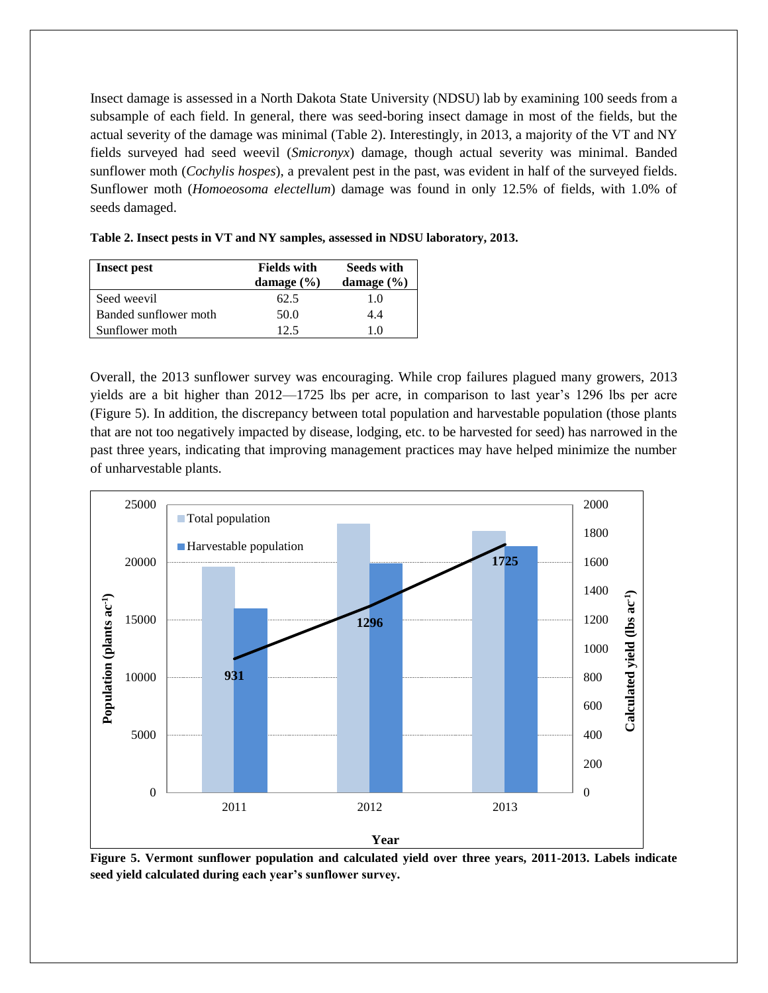Insect damage is assessed in a North Dakota State University (NDSU) lab by examining 100 seeds from a subsample of each field. In general, there was seed-boring insect damage in most of the fields, but the actual severity of the damage was minimal (Table 2). Interestingly, in 2013, a majority of the VT and NY fields surveyed had seed weevil (*Smicronyx*) damage, though actual severity was minimal. Banded sunflower moth (*Cochylis hospes*), a prevalent pest in the past, was evident in half of the surveyed fields. Sunflower moth (*Homoeosoma electellum*) damage was found in only 12.5% of fields, with 1.0% of seeds damaged.

| <b>Insect pest</b>    | <b>Fields with</b> | <b>Seeds with</b> |  |
|-----------------------|--------------------|-------------------|--|
|                       | damage $(\% )$     | damage $(\% )$    |  |
| Seed weevil           | 62.5               | 1.0               |  |
| Banded sunflower moth | 50.0               | 4.4               |  |
| Sunflower moth        | 12.5               | 10                |  |

**Table 2. Insect pests in VT and NY samples, assessed in NDSU laboratory, 2013.**

Overall, the 2013 sunflower survey was encouraging. While crop failures plagued many growers, 2013 yields are a bit higher than 2012—1725 lbs per acre, in comparison to last year's 1296 lbs per acre (Figure 5). In addition, the discrepancy between total population and harvestable population (those plants that are not too negatively impacted by disease, lodging, etc. to be harvested for seed) has narrowed in the past three years, indicating that improving management practices may have helped minimize the number of unharvestable plants.



**Figure 5. Vermont sunflower population and calculated yield over three years, 2011-2013. Labels indicate seed yield calculated during each year's sunflower survey.**